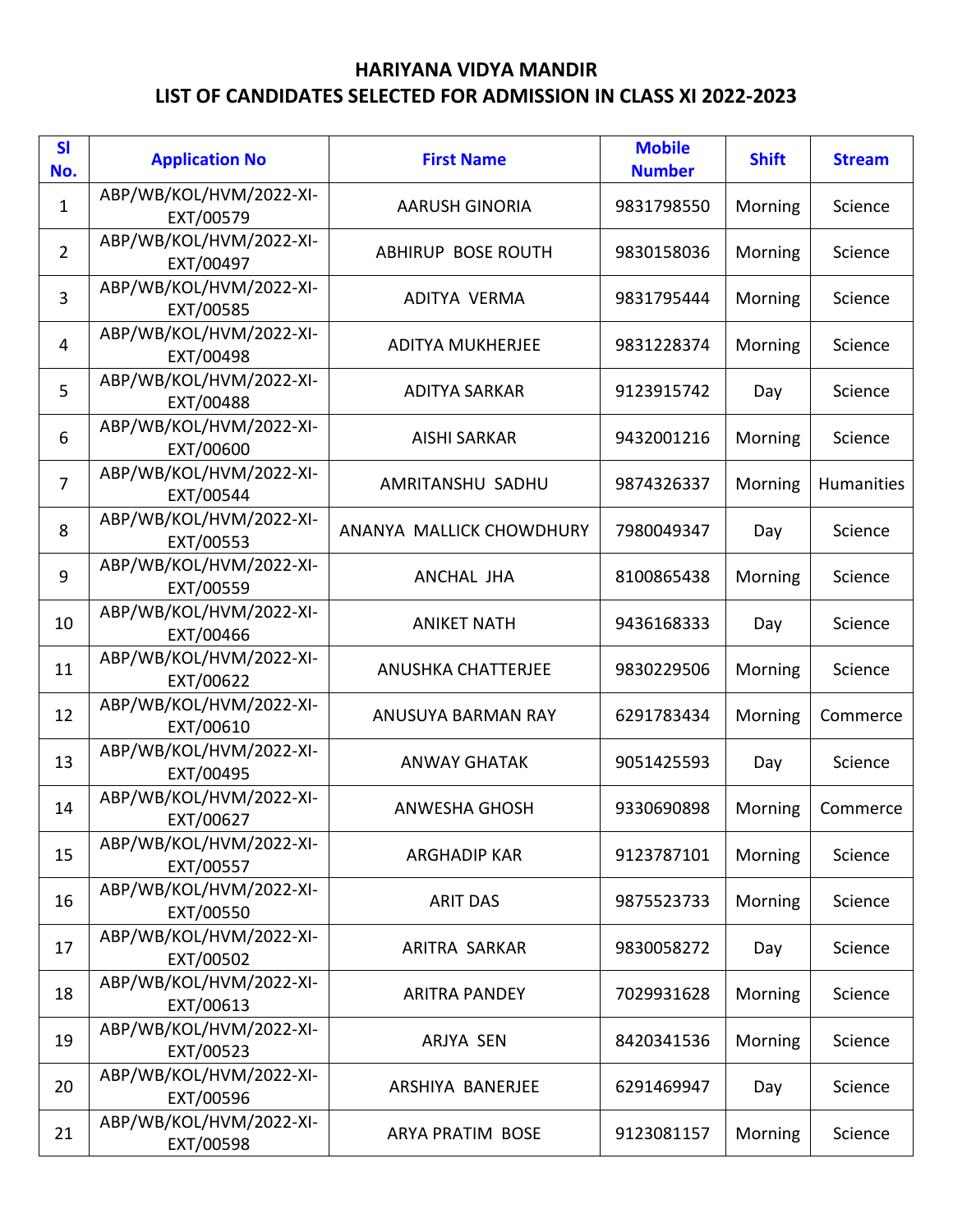| SI<br>No.      | <b>Application No</b>                | <b>First Name</b>         | <b>Mobile</b><br><b>Number</b> | <b>Shift</b> | <b>Stream</b>     |
|----------------|--------------------------------------|---------------------------|--------------------------------|--------------|-------------------|
| $\mathbf{1}$   | ABP/WB/KOL/HVM/2022-XI-<br>EXT/00579 | <b>AARUSH GINORIA</b>     | 9831798550                     | Morning      | Science           |
| $\overline{2}$ | ABP/WB/KOL/HVM/2022-XI-<br>EXT/00497 | ABHIRUP BOSE ROUTH        | 9830158036                     | Morning      | Science           |
| 3              | ABP/WB/KOL/HVM/2022-XI-<br>EXT/00585 | ADITYA VERMA              | 9831795444                     | Morning      | Science           |
| $\overline{4}$ | ABP/WB/KOL/HVM/2022-XI-<br>EXT/00498 | <b>ADITYA MUKHERJEE</b>   | 9831228374                     | Morning      | Science           |
| 5              | ABP/WB/KOL/HVM/2022-XI-<br>EXT/00488 | <b>ADITYA SARKAR</b>      | 9123915742                     | Day          | Science           |
| 6              | ABP/WB/KOL/HVM/2022-XI-<br>EXT/00600 | <b>AISHI SARKAR</b>       | 9432001216                     | Morning      | Science           |
| $\overline{7}$ | ABP/WB/KOL/HVM/2022-XI-<br>EXT/00544 | AMRITANSHU SADHU          | 9874326337                     | Morning      | <b>Humanities</b> |
| 8              | ABP/WB/KOL/HVM/2022-XI-<br>EXT/00553 | ANANYA MALLICK CHOWDHURY  | 7980049347                     | Day          | Science           |
| 9              | ABP/WB/KOL/HVM/2022-XI-<br>EXT/00559 | ANCHAL JHA                | 8100865438                     | Morning      | Science           |
| 10             | ABP/WB/KOL/HVM/2022-XI-<br>EXT/00466 | <b>ANIKET NATH</b>        | 9436168333                     | Day          | Science           |
| 11             | ABP/WB/KOL/HVM/2022-XI-<br>EXT/00622 | <b>ANUSHKA CHATTERJEE</b> | 9830229506                     | Morning      | Science           |
| 12             | ABP/WB/KOL/HVM/2022-XI-<br>EXT/00610 | ANUSUYA BARMAN RAY        | 6291783434                     | Morning      | Commerce          |
| 13             | ABP/WB/KOL/HVM/2022-XI-<br>EXT/00495 | <b>ANWAY GHATAK</b>       | 9051425593                     | Day          | Science           |
| 14             | ABP/WB/KOL/HVM/2022-XI-<br>EXT/00627 | <b>ANWESHA GHOSH</b>      | 9330690898                     | Morning      | Commerce          |
| 15             | ABP/WB/KOL/HVM/2022-XI-<br>EXT/00557 | <b>ARGHADIP KAR</b>       | 9123787101                     | Morning      | Science           |
| 16             | ABP/WB/KOL/HVM/2022-XI-<br>EXT/00550 | <b>ARIT DAS</b>           | 9875523733                     | Morning      | Science           |
| 17             | ABP/WB/KOL/HVM/2022-XI-<br>EXT/00502 | ARITRA SARKAR             | 9830058272                     | Day          | Science           |
| 18             | ABP/WB/KOL/HVM/2022-XI-<br>EXT/00613 | <b>ARITRA PANDEY</b>      | 7029931628                     | Morning      | Science           |
| 19             | ABP/WB/KOL/HVM/2022-XI-<br>EXT/00523 | ARJYA SEN                 | 8420341536                     | Morning      | Science           |
| 20             | ABP/WB/KOL/HVM/2022-XI-<br>EXT/00596 | ARSHIYA BANERJEE          | 6291469947                     | Day          | Science           |
| 21             | ABP/WB/KOL/HVM/2022-XI-<br>EXT/00598 | ARYA PRATIM BOSE          | 9123081157                     | Morning      | Science           |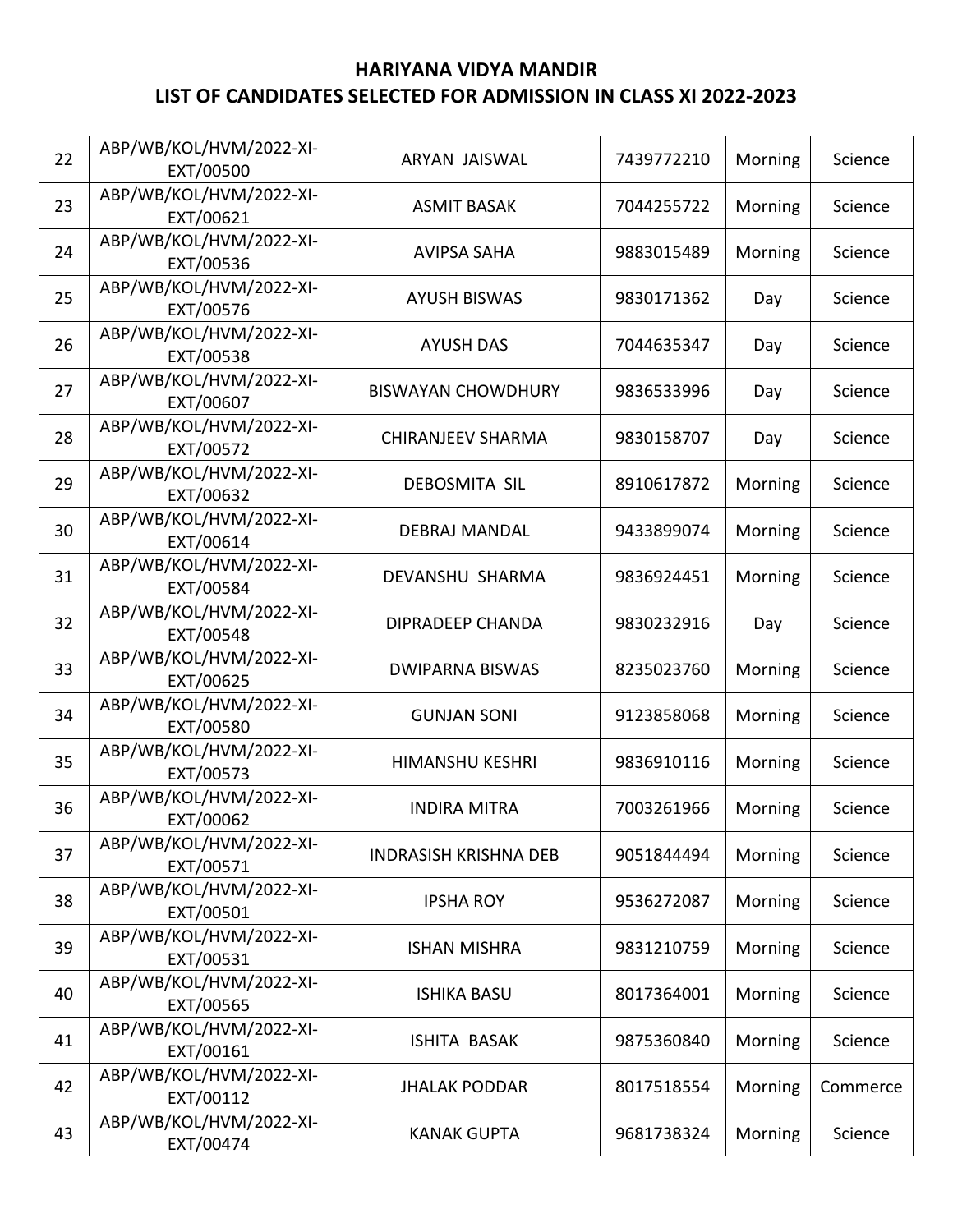| 22 | ABP/WB/KOL/HVM/2022-XI-<br>EXT/00500 | ARYAN JAISWAL                | 7439772210 | Morning | Science  |
|----|--------------------------------------|------------------------------|------------|---------|----------|
| 23 | ABP/WB/KOL/HVM/2022-XI-<br>EXT/00621 | <b>ASMIT BASAK</b>           | 7044255722 | Morning | Science  |
| 24 | ABP/WB/KOL/HVM/2022-XI-<br>EXT/00536 | <b>AVIPSA SAHA</b>           | 9883015489 | Morning | Science  |
| 25 | ABP/WB/KOL/HVM/2022-XI-<br>EXT/00576 | <b>AYUSH BISWAS</b>          | 9830171362 | Day     | Science  |
| 26 | ABP/WB/KOL/HVM/2022-XI-<br>EXT/00538 | <b>AYUSH DAS</b>             | 7044635347 | Day     | Science  |
| 27 | ABP/WB/KOL/HVM/2022-XI-<br>EXT/00607 | <b>BISWAYAN CHOWDHURY</b>    | 9836533996 | Day     | Science  |
| 28 | ABP/WB/KOL/HVM/2022-XI-<br>EXT/00572 | <b>CHIRANJEEV SHARMA</b>     | 9830158707 | Day     | Science  |
| 29 | ABP/WB/KOL/HVM/2022-XI-<br>EXT/00632 | <b>DEBOSMITA SIL</b>         | 8910617872 | Morning | Science  |
| 30 | ABP/WB/KOL/HVM/2022-XI-<br>EXT/00614 | <b>DEBRAJ MANDAL</b>         | 9433899074 | Morning | Science  |
| 31 | ABP/WB/KOL/HVM/2022-XI-<br>EXT/00584 | DEVANSHU SHARMA              | 9836924451 | Morning | Science  |
| 32 | ABP/WB/KOL/HVM/2022-XI-<br>EXT/00548 | <b>DIPRADEEP CHANDA</b>      | 9830232916 | Day     | Science  |
| 33 | ABP/WB/KOL/HVM/2022-XI-<br>EXT/00625 | <b>DWIPARNA BISWAS</b>       | 8235023760 | Morning | Science  |
| 34 | ABP/WB/KOL/HVM/2022-XI-<br>EXT/00580 | <b>GUNJAN SONI</b>           | 9123858068 | Morning | Science  |
| 35 | ABP/WB/KOL/HVM/2022-XI-<br>EXT/00573 | <b>HIMANSHU KESHRI</b>       | 9836910116 | Morning | Science  |
| 36 | ABP/WB/KOL/HVM/2022-XI-<br>EXT/00062 | <b>INDIRA MITRA</b>          | 7003261966 | Morning | Science  |
| 37 | ABP/WB/KOL/HVM/2022-XI-<br>EXT/00571 | <b>INDRASISH KRISHNA DEB</b> | 9051844494 | Morning | Science  |
| 38 | ABP/WB/KOL/HVM/2022-XI-<br>EXT/00501 | <b>IPSHA ROY</b>             | 9536272087 | Morning | Science  |
| 39 | ABP/WB/KOL/HVM/2022-XI-<br>EXT/00531 | <b>ISHAN MISHRA</b>          | 9831210759 | Morning | Science  |
| 40 | ABP/WB/KOL/HVM/2022-XI-<br>EXT/00565 | <b>ISHIKA BASU</b>           | 8017364001 | Morning | Science  |
| 41 | ABP/WB/KOL/HVM/2022-XI-<br>EXT/00161 | <b>ISHITA BASAK</b>          | 9875360840 | Morning | Science  |
| 42 | ABP/WB/KOL/HVM/2022-XI-<br>EXT/00112 | <b>JHALAK PODDAR</b>         | 8017518554 | Morning | Commerce |
| 43 | ABP/WB/KOL/HVM/2022-XI-<br>EXT/00474 | <b>KANAK GUPTA</b>           | 9681738324 | Morning | Science  |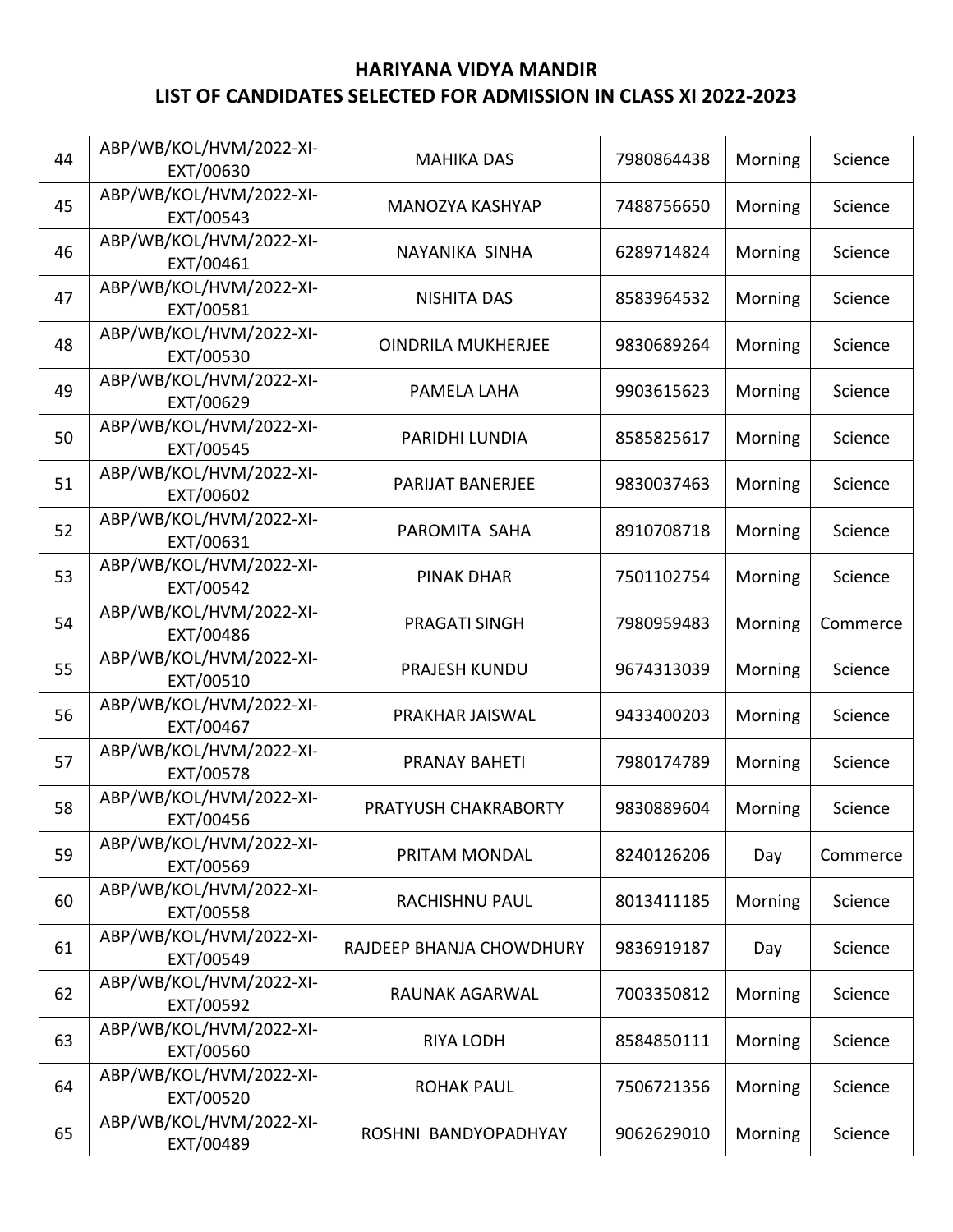| 44 | ABP/WB/KOL/HVM/2022-XI-<br>EXT/00630 | <b>MAHIKA DAS</b>         | 7980864438 | Morning | Science  |
|----|--------------------------------------|---------------------------|------------|---------|----------|
| 45 | ABP/WB/KOL/HVM/2022-XI-<br>EXT/00543 | <b>MANOZYA KASHYAP</b>    | 7488756650 | Morning | Science  |
| 46 | ABP/WB/KOL/HVM/2022-XI-<br>EXT/00461 | NAYANIKA SINHA            | 6289714824 | Morning | Science  |
| 47 | ABP/WB/KOL/HVM/2022-XI-<br>EXT/00581 | <b>NISHITA DAS</b>        | 8583964532 | Morning | Science  |
| 48 | ABP/WB/KOL/HVM/2022-XI-<br>EXT/00530 | <b>OINDRILA MUKHERJEE</b> | 9830689264 | Morning | Science  |
| 49 | ABP/WB/KOL/HVM/2022-XI-<br>EXT/00629 | PAMELA LAHA               | 9903615623 | Morning | Science  |
| 50 | ABP/WB/KOL/HVM/2022-XI-<br>EXT/00545 | PARIDHI LUNDIA            | 8585825617 | Morning | Science  |
| 51 | ABP/WB/KOL/HVM/2022-XI-<br>EXT/00602 | <b>PARIJAT BANERJEE</b>   | 9830037463 | Morning | Science  |
| 52 | ABP/WB/KOL/HVM/2022-XI-<br>EXT/00631 | PAROMITA SAHA             | 8910708718 | Morning | Science  |
| 53 | ABP/WB/KOL/HVM/2022-XI-<br>EXT/00542 | <b>PINAK DHAR</b>         | 7501102754 | Morning | Science  |
| 54 | ABP/WB/KOL/HVM/2022-XI-<br>EXT/00486 | <b>PRAGATI SINGH</b>      | 7980959483 | Morning | Commerce |
| 55 | ABP/WB/KOL/HVM/2022-XI-<br>EXT/00510 | <b>PRAJESH KUNDU</b>      | 9674313039 | Morning | Science  |
| 56 | ABP/WB/KOL/HVM/2022-XI-<br>EXT/00467 | PRAKHAR JAISWAL           | 9433400203 | Morning | Science  |
| 57 | ABP/WB/KOL/HVM/2022-XI-<br>EXT/00578 | <b>PRANAY BAHETI</b>      | 7980174789 | Morning | Science  |
| 58 | ABP/WB/KOL/HVM/2022-XI-<br>EXT/00456 | PRATYUSH CHAKRABORTY      | 9830889604 | Morning | Science  |
| 59 | ABP/WB/KOL/HVM/2022-XI-<br>EXT/00569 | PRITAM MONDAL             | 8240126206 | Day     | Commerce |
| 60 | ABP/WB/KOL/HVM/2022-XI-<br>EXT/00558 | <b>RACHISHNU PAUL</b>     | 8013411185 | Morning | Science  |
| 61 | ABP/WB/KOL/HVM/2022-XI-<br>EXT/00549 | RAJDEEP BHANJA CHOWDHURY  | 9836919187 | Day     | Science  |
| 62 | ABP/WB/KOL/HVM/2022-XI-<br>EXT/00592 | RAUNAK AGARWAL            | 7003350812 | Morning | Science  |
| 63 | ABP/WB/KOL/HVM/2022-XI-<br>EXT/00560 | <b>RIYA LODH</b>          | 8584850111 | Morning | Science  |
| 64 | ABP/WB/KOL/HVM/2022-XI-<br>EXT/00520 | <b>ROHAK PAUL</b>         | 7506721356 | Morning | Science  |
| 65 | ABP/WB/KOL/HVM/2022-XI-<br>EXT/00489 | ROSHNI BANDYOPADHYAY      | 9062629010 | Morning | Science  |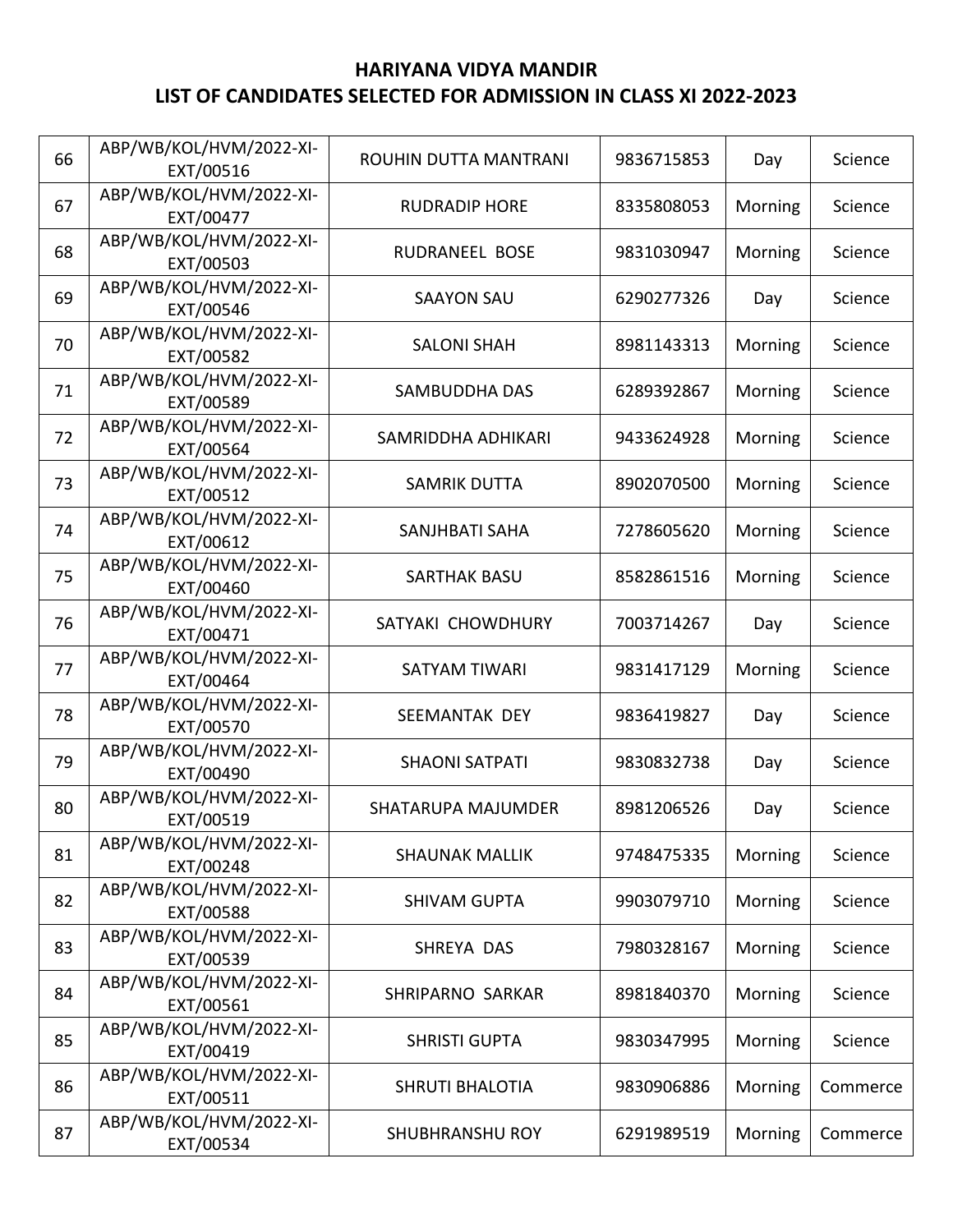| 66 | ABP/WB/KOL/HVM/2022-XI-<br>EXT/00516 | ROUHIN DUTTA MANTRANI     | 9836715853 | Day     | Science  |
|----|--------------------------------------|---------------------------|------------|---------|----------|
| 67 | ABP/WB/KOL/HVM/2022-XI-<br>EXT/00477 | <b>RUDRADIP HORE</b>      | 8335808053 | Morning | Science  |
| 68 | ABP/WB/KOL/HVM/2022-XI-<br>EXT/00503 | <b>RUDRANEEL BOSE</b>     | 9831030947 | Morning | Science  |
| 69 | ABP/WB/KOL/HVM/2022-XI-<br>EXT/00546 | <b>SAAYON SAU</b>         | 6290277326 | Day     | Science  |
| 70 | ABP/WB/KOL/HVM/2022-XI-<br>EXT/00582 | <b>SALONI SHAH</b>        | 8981143313 | Morning | Science  |
| 71 | ABP/WB/KOL/HVM/2022-XI-<br>EXT/00589 | SAMBUDDHA DAS             | 6289392867 | Morning | Science  |
| 72 | ABP/WB/KOL/HVM/2022-XI-<br>EXT/00564 | SAMRIDDHA ADHIKARI        | 9433624928 | Morning | Science  |
| 73 | ABP/WB/KOL/HVM/2022-XI-<br>EXT/00512 | <b>SAMRIK DUTTA</b>       | 8902070500 | Morning | Science  |
| 74 | ABP/WB/KOL/HVM/2022-XI-<br>EXT/00612 | SANJHBATI SAHA            | 7278605620 | Morning | Science  |
| 75 | ABP/WB/KOL/HVM/2022-XI-<br>EXT/00460 | <b>SARTHAK BASU</b>       | 8582861516 | Morning | Science  |
| 76 | ABP/WB/KOL/HVM/2022-XI-<br>EXT/00471 | SATYAKI CHOWDHURY         | 7003714267 | Day     | Science  |
| 77 | ABP/WB/KOL/HVM/2022-XI-<br>EXT/00464 | SATYAM TIWARI             | 9831417129 | Morning | Science  |
| 78 | ABP/WB/KOL/HVM/2022-XI-<br>EXT/00570 | <b>SEEMANTAK DEY</b>      | 9836419827 | Day     | Science  |
| 79 | ABP/WB/KOL/HVM/2022-XI-<br>EXT/00490 | <b>SHAONI SATPATI</b>     | 9830832738 | Day     | Science  |
| 80 | ABP/WB/KOL/HVM/2022-XI-<br>EXT/00519 | <b>SHATARUPA MAJUMDER</b> | 8981206526 | Day     | Science  |
| 81 | ABP/WB/KOL/HVM/2022-XI-<br>EXT/00248 | <b>SHAUNAK MALLIK</b>     | 9748475335 | Morning | Science  |
| 82 | ABP/WB/KOL/HVM/2022-XI-<br>EXT/00588 | <b>SHIVAM GUPTA</b>       | 9903079710 | Morning | Science  |
| 83 | ABP/WB/KOL/HVM/2022-XI-<br>EXT/00539 | SHREYA DAS                | 7980328167 | Morning | Science  |
| 84 | ABP/WB/KOL/HVM/2022-XI-<br>EXT/00561 | SHRIPARNO SARKAR          | 8981840370 | Morning | Science  |
| 85 | ABP/WB/KOL/HVM/2022-XI-<br>EXT/00419 | <b>SHRISTI GUPTA</b>      | 9830347995 | Morning | Science  |
| 86 | ABP/WB/KOL/HVM/2022-XI-<br>EXT/00511 | <b>SHRUTI BHALOTIA</b>    | 9830906886 | Morning | Commerce |
| 87 | ABP/WB/KOL/HVM/2022-XI-<br>EXT/00534 | <b>SHUBHRANSHU ROY</b>    | 6291989519 | Morning | Commerce |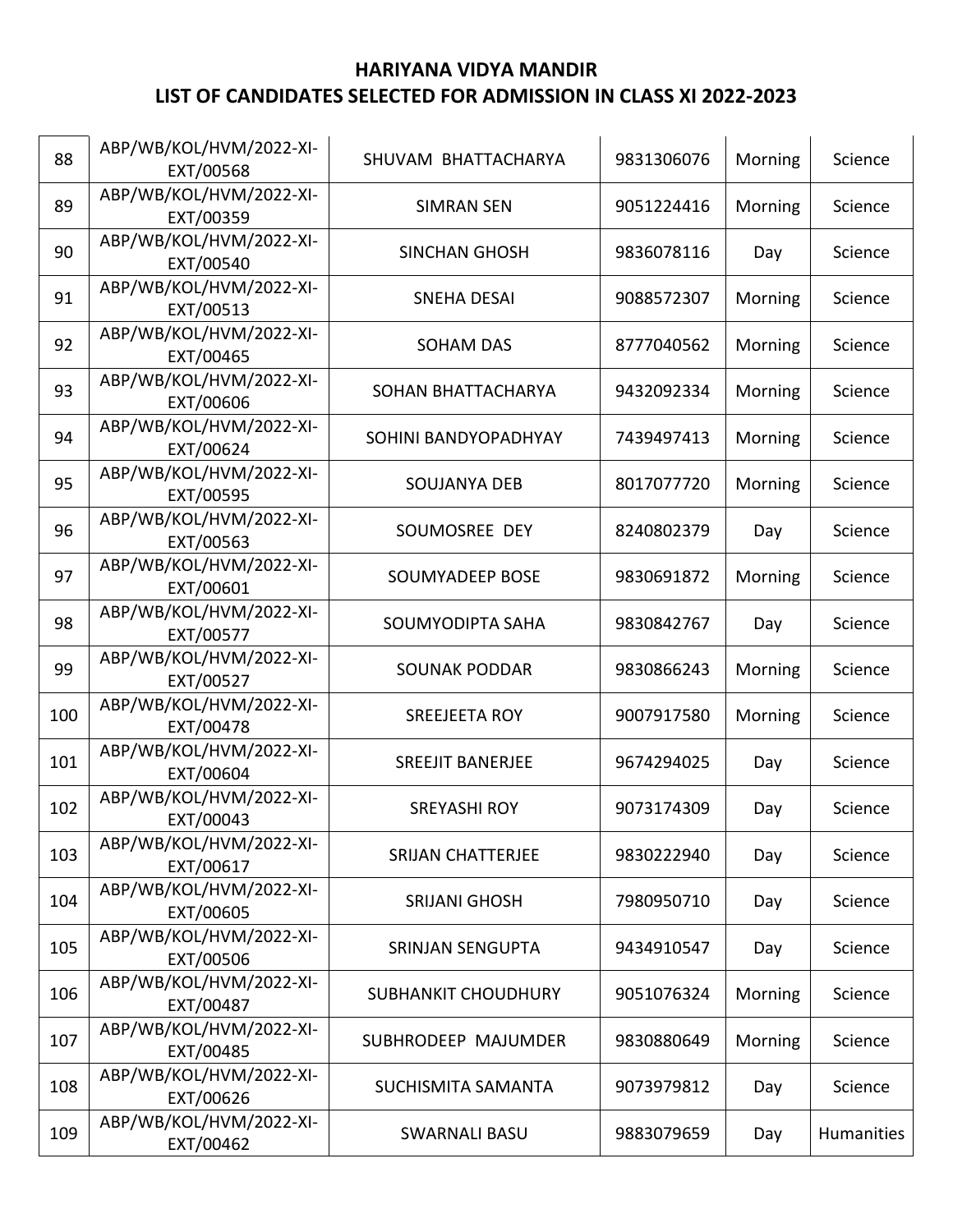| 88  | ABP/WB/KOL/HVM/2022-XI-<br>EXT/00568 | SHUVAM BHATTACHARYA        | 9831306076 | Morning | Science    |
|-----|--------------------------------------|----------------------------|------------|---------|------------|
| 89  | ABP/WB/KOL/HVM/2022-XI-<br>EXT/00359 | <b>SIMRAN SEN</b>          | 9051224416 | Morning | Science    |
| 90  | ABP/WB/KOL/HVM/2022-XI-<br>EXT/00540 | <b>SINCHAN GHOSH</b>       | 9836078116 | Day     | Science    |
| 91  | ABP/WB/KOL/HVM/2022-XI-<br>EXT/00513 | <b>SNEHA DESAI</b>         | 9088572307 | Morning | Science    |
| 92  | ABP/WB/KOL/HVM/2022-XI-<br>EXT/00465 | <b>SOHAM DAS</b>           | 8777040562 | Morning | Science    |
| 93  | ABP/WB/KOL/HVM/2022-XI-<br>EXT/00606 | SOHAN BHATTACHARYA         | 9432092334 | Morning | Science    |
| 94  | ABP/WB/KOL/HVM/2022-XI-<br>EXT/00624 | SOHINI BANDYOPADHYAY       | 7439497413 | Morning | Science    |
| 95  | ABP/WB/KOL/HVM/2022-XI-<br>EXT/00595 | <b>SOUJANYA DEB</b>        | 8017077720 | Morning | Science    |
| 96  | ABP/WB/KOL/HVM/2022-XI-<br>EXT/00563 | SOUMOSREE DEY              | 8240802379 | Day     | Science    |
| 97  | ABP/WB/KOL/HVM/2022-XI-<br>EXT/00601 | <b>SOUMYADEEP BOSE</b>     | 9830691872 | Morning | Science    |
| 98  | ABP/WB/KOL/HVM/2022-XI-<br>EXT/00577 | SOUMYODIPTA SAHA           | 9830842767 | Day     | Science    |
| 99  | ABP/WB/KOL/HVM/2022-XI-<br>EXT/00527 | <b>SOUNAK PODDAR</b>       | 9830866243 | Morning | Science    |
| 100 | ABP/WB/KOL/HVM/2022-XI-<br>EXT/00478 | <b>SREEJEETA ROY</b>       | 9007917580 | Morning | Science    |
| 101 | ABP/WB/KOL/HVM/2022-XI-<br>EXT/00604 | <b>SREEJIT BANERJEE</b>    | 9674294025 | Day     | Science    |
| 102 | ABP/WB/KOL/HVM/2022-XI-<br>EXT/00043 | <b>SREYASHI ROY</b>        | 9073174309 | Day     | Science    |
| 103 | ABP/WB/KOL/HVM/2022-XI-<br>EXT/00617 | <b>SRIJAN CHATTERJEE</b>   | 9830222940 | Day     | Science    |
| 104 | ABP/WB/KOL/HVM/2022-XI-<br>EXT/00605 | <b>SRIJANI GHOSH</b>       | 7980950710 | Day     | Science    |
| 105 | ABP/WB/KOL/HVM/2022-XI-<br>EXT/00506 | <b>SRINJAN SENGUPTA</b>    | 9434910547 | Day     | Science    |
| 106 | ABP/WB/KOL/HVM/2022-XI-<br>EXT/00487 | <b>SUBHANKIT CHOUDHURY</b> | 9051076324 | Morning | Science    |
| 107 | ABP/WB/KOL/HVM/2022-XI-<br>EXT/00485 | SUBHRODEEP MAJUMDER        | 9830880649 | Morning | Science    |
| 108 | ABP/WB/KOL/HVM/2022-XI-<br>EXT/00626 | SUCHISMITA SAMANTA         | 9073979812 | Day     | Science    |
| 109 | ABP/WB/KOL/HVM/2022-XI-<br>EXT/00462 | <b>SWARNALI BASU</b>       | 9883079659 | Day     | Humanities |